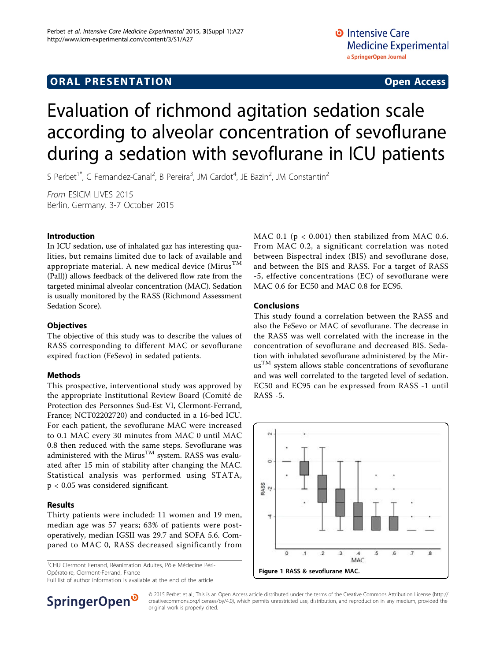## **ORAL PRESENTATION CONSUMING ACCESS**

# Evaluation of richmond agitation sedation scale according to alveolar concentration of sevoflurane during a sedation with sevoflurane in ICU patients

S Perbet<sup>1\*</sup>, C Fernandez-Canal<sup>2</sup>, B Pereira<sup>3</sup>, JM Cardot<sup>4</sup>, JE Bazin<sup>2</sup>, JM Constantin<sup>2</sup>

From ESICM LIVES 2015 Berlin, Germany. 3-7 October 2015

#### Introduction

In ICU sedation, use of inhalated gaz has interesting qualities, but remains limited due to lack of available and appropriate material. A new medical device  $(Mirus^{TM})$ (Pall)) allows feedback of the delivered flow rate from the targeted minimal alveolar concentration (MAC). Sedation is usually monitored by the RASS (Richmond Assessment Sedation Score).

#### **Objectives**

The objective of this study was to describe the values of RASS corresponding to different MAC or sevoflurane expired fraction (FeSevo) in sedated patients.

#### Methods

This prospective, interventional study was approved by the appropriate Institutional Review Board (Comité de Protection des Personnes Sud-Est VI, Clermont-Ferrand, France; NCT02202720) and conducted in a 16-bed ICU. For each patient, the sevoflurane MAC were increased to 0.1 MAC every 30 minutes from MAC 0 until MAC 0.8 then reduced with the same steps. Sevoflurane was administered with the Mirus<sup>TM</sup> system. RASS was evaluated after 15 min of stability after changing the MAC. Statistical analysis was performed using STATA, p < 0.05 was considered significant.

#### Results

Thirty patients were included: 11 women and 19 men, median age was 57 years; 63% of patients were postoperatively, median IGSII was 29.7 and SOFA 5.6. Compared to MAC 0, RASS decreased significantly from

1 CHU Clermont Ferrand, Réanimation Adultes, Pôle Médecine Péri-Opératoire, Clermont-Ferrand, France

Full list of author information is available at the end of the article

MAC 0.1 ( $p < 0.001$ ) then stabilized from MAC 0.6. From MAC 0.2, a significant correlation was noted between Bispectral index (BIS) and sevoflurane dose, and between the BIS and RASS. For a target of RASS -5, effective concentrations (EC) of sevoflurane were MAC 0.6 for EC50 and MAC 0.8 for EC95.

#### Conclusions

This study found a correlation between the RASS and also the FeSevo or MAC of sevoflurane. The decrease in the RASS was well correlated with the increase in the concentration of sevoflurane and decreased BIS. Sedation with inhalated sevoflurane administered by the Mir- $\text{u} \text{s}^{\text{TM}}$  system allows stable concentrations of sevoflurane and was well correlated to the targeted level of sedation. EC50 and EC95 can be expressed from RASS -1 until RASS -5.



**SpringerOpen** 

© 2015 Perbet et al.; This is an Open Access article distributed under the terms of the Creative Commons Attribution License [\(http://](http://creativecommons.org/licenses/by/4.0) [creativecommons.org/licenses/by/4.0](http://creativecommons.org/licenses/by/4.0)), which permits unrestricted use, distribution, and reproduction in any medium, provided the original work is properly cited.